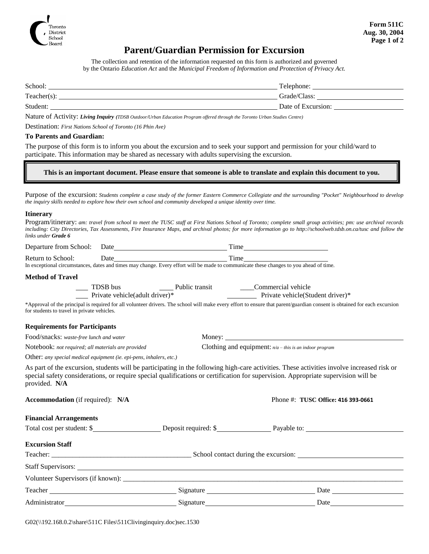

## **Parent/Guardian Permission for Excursion**

The collection and retention of the information requested on this form is authorized and governed by the Ontario *Education Act* and the *Municipal Freedom of Information and Protection of Privacy Act.*

| School:        | Telephone:         |
|----------------|--------------------|
| $Teacher(s)$ : | Grade/Class:       |
| Student:       | Date of Excursion: |

Nature of Activity: *Living Inquiry (TDSB Outdoor/Urban Education Program offered through the Toronto Urban Studies Centre)*

Destination: *First Nations School of Toronto (16 Phin Ave)*

#### **To Parents and Guardian:**

The purpose of this form is to inform you about the excursion and to seek your support and permission for your child/ward to participate. This information may be shared as necessary with adults supervising the excursion.

#### **This is an important document. Please ensure that someone is able to translate and explain this document to you.**

Purpose of the excursion: *Students complete a case study of the former Eastern Commerce Collegiate and the surrounding "Pocket" Neighbourhood to develop the inquiry skills needed to explore how their own school and community developed a unique identity over time.*

#### **Itinerary**

|                            | Program/itinerary: am: travel from school to meet the TUSC staff at First Nations School of Toronto; complete small group activities; pm: use archival records     |
|----------------------------|--------------------------------------------------------------------------------------------------------------------------------------------------------------------|
|                            | including: City Directories, Tax Assessments, Fire Insurance Maps, and archival photos; for more information go to http://schoolweb.tdsb.on.ca/tusc and follow the |
| links under <b>Grade 6</b> |                                                                                                                                                                    |

|                                                                                                                                        |                                                                     |  | Time                                                                                                                                                                                                                                                                             |  |  |  |
|----------------------------------------------------------------------------------------------------------------------------------------|---------------------------------------------------------------------|--|----------------------------------------------------------------------------------------------------------------------------------------------------------------------------------------------------------------------------------------------------------------------------------|--|--|--|
| Return to School:                                                                                                                      | Date Time                                                           |  |                                                                                                                                                                                                                                                                                  |  |  |  |
| In exceptional circumstances, dates and times may change. Every effort will be made to communicate these changes to you ahead of time. |                                                                     |  |                                                                                                                                                                                                                                                                                  |  |  |  |
| <b>Method of Travel</b>                                                                                                                |                                                                     |  |                                                                                                                                                                                                                                                                                  |  |  |  |
|                                                                                                                                        |                                                                     |  | TDSB bus Public transit Commercial vehicle<br>Private vehicle(adult driver)* Public transit Private vehicle(Student driver)*                                                                                                                                                     |  |  |  |
|                                                                                                                                        |                                                                     |  |                                                                                                                                                                                                                                                                                  |  |  |  |
| for students to travel in private vehicles.                                                                                            |                                                                     |  | *Approval of the principal is required for all volunteer drivers. The school will make every effort to ensure that parent/guardian consent is obtained for each excursion                                                                                                        |  |  |  |
| <b>Requirements for Participants</b>                                                                                                   |                                                                     |  |                                                                                                                                                                                                                                                                                  |  |  |  |
| Food/snacks: waste-free lunch and water                                                                                                |                                                                     |  |                                                                                                                                                                                                                                                                                  |  |  |  |
| Notebook: not required; all materials are provided                                                                                     |                                                                     |  | Clothing and equipment: $n/a$ – this is an indoor program                                                                                                                                                                                                                        |  |  |  |
|                                                                                                                                        | Other: any special medical equipment (ie. epi-pens, inhalers, etc.) |  |                                                                                                                                                                                                                                                                                  |  |  |  |
| provided. N/A                                                                                                                          |                                                                     |  | As part of the excursion, students will be participating in the following high-care activities. These activities involve increased risk or<br>special safety considerations, or require special qualifications or certification for supervision. Appropriate supervision will be |  |  |  |
| <b>Accommodation</b> (if required): N/A                                                                                                |                                                                     |  | Phone #: TUSC Office: 416 393-0661                                                                                                                                                                                                                                               |  |  |  |
| <b>Financial Arrangements</b>                                                                                                          |                                                                     |  |                                                                                                                                                                                                                                                                                  |  |  |  |
|                                                                                                                                        |                                                                     |  | Total cost per student: \$                                                                                                                                                                                                                                                       |  |  |  |
| <b>Excursion Staff</b>                                                                                                                 |                                                                     |  |                                                                                                                                                                                                                                                                                  |  |  |  |
|                                                                                                                                        |                                                                     |  |                                                                                                                                                                                                                                                                                  |  |  |  |
|                                                                                                                                        |                                                                     |  |                                                                                                                                                                                                                                                                                  |  |  |  |
|                                                                                                                                        |                                                                     |  |                                                                                                                                                                                                                                                                                  |  |  |  |
|                                                                                                                                        |                                                                     |  |                                                                                                                                                                                                                                                                                  |  |  |  |
| Administrator                                                                                                                          |                                                                     |  | Date $\qquad \qquad$                                                                                                                                                                                                                                                             |  |  |  |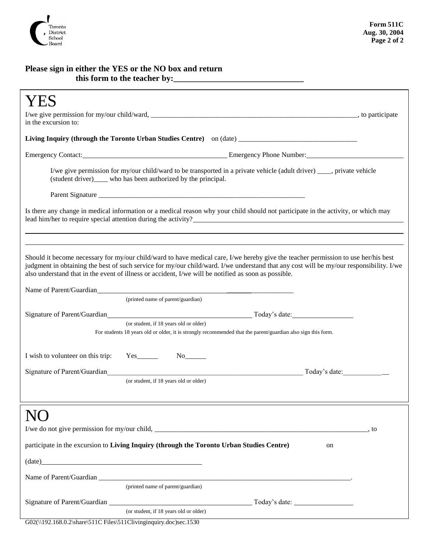

### **Please sign in either the YES or the NO box and return this form to the teacher by:\_\_\_\_\_\_\_\_\_\_\_\_\_\_\_\_\_\_\_\_\_\_\_\_\_\_\_\_\_\_\_**

| in the excursion to:                                                                                                                                                                                                                                                                                                                                                                  |      |  |  |  |  |
|---------------------------------------------------------------------------------------------------------------------------------------------------------------------------------------------------------------------------------------------------------------------------------------------------------------------------------------------------------------------------------------|------|--|--|--|--|
| Living Inquiry (through the Toronto Urban Studies Centre) on (date) ________________________________                                                                                                                                                                                                                                                                                  |      |  |  |  |  |
| Emergency Contact: Contact: Emergency Phone Number:                                                                                                                                                                                                                                                                                                                                   |      |  |  |  |  |
| I/we give permission for my/our child/ward to be transported in a private vehicle (adult driver) ____, private vehicle<br>(student driver) who has been authorized by the principal.                                                                                                                                                                                                  |      |  |  |  |  |
|                                                                                                                                                                                                                                                                                                                                                                                       |      |  |  |  |  |
| Is there any change in medical information or a medical reason why your child should not participate in the activity, or which may                                                                                                                                                                                                                                                    |      |  |  |  |  |
|                                                                                                                                                                                                                                                                                                                                                                                       |      |  |  |  |  |
| Should it become necessary for my/our child/ward to have medical care, I/we hereby give the teacher permission to use her/his best<br>judgment in obtaining the best of such service for my/our child/ward. I/we understand that any cost will be my/our responsibility. I/we<br>also understand that in the event of illness or accident, I/we will be notified as soon as possible. |      |  |  |  |  |
| Name of Parent/Guardian<br>(printed name of parent/guardian)                                                                                                                                                                                                                                                                                                                          |      |  |  |  |  |
| Signature of Parent/Guardian Superior Code and Superior Code and Superior Code and Superior Code and Superior Code and Superior Code and Superior Code and Superior Code and Superior Code and Superior Code and Superior Code                                                                                                                                                        |      |  |  |  |  |
| (or student, if 18 years old or older)<br>For students 18 years old or older, it is strongly recommended that the parent/guardian also sign this form.                                                                                                                                                                                                                                |      |  |  |  |  |
| I wish to volunteer on this trip:<br>$Yes$ No $No$                                                                                                                                                                                                                                                                                                                                    |      |  |  |  |  |
| Signature of Parent/Guardian<br>Today's date:<br>(or student, if 18 years old or older)                                                                                                                                                                                                                                                                                               |      |  |  |  |  |
|                                                                                                                                                                                                                                                                                                                                                                                       |      |  |  |  |  |
|                                                                                                                                                                                                                                                                                                                                                                                       |      |  |  |  |  |
|                                                                                                                                                                                                                                                                                                                                                                                       | , to |  |  |  |  |
| participate in the excursion to Living Inquiry (through the Toronto Urban Studies Centre)<br>on                                                                                                                                                                                                                                                                                       |      |  |  |  |  |
| (date) and the contract of the contract of the contract of the contract of the contract of the contract of the contract of the contract of the contract of the contract of the contract of the contract of the contract of the                                                                                                                                                        |      |  |  |  |  |
|                                                                                                                                                                                                                                                                                                                                                                                       |      |  |  |  |  |
| (printed name of parent/guardian)                                                                                                                                                                                                                                                                                                                                                     |      |  |  |  |  |
| (or student, if 18 years old or older)                                                                                                                                                                                                                                                                                                                                                |      |  |  |  |  |
| G02(\\192.168.0.2\share\511C Files\511Clivinginquiry.doc)sec.1530                                                                                                                                                                                                                                                                                                                     |      |  |  |  |  |